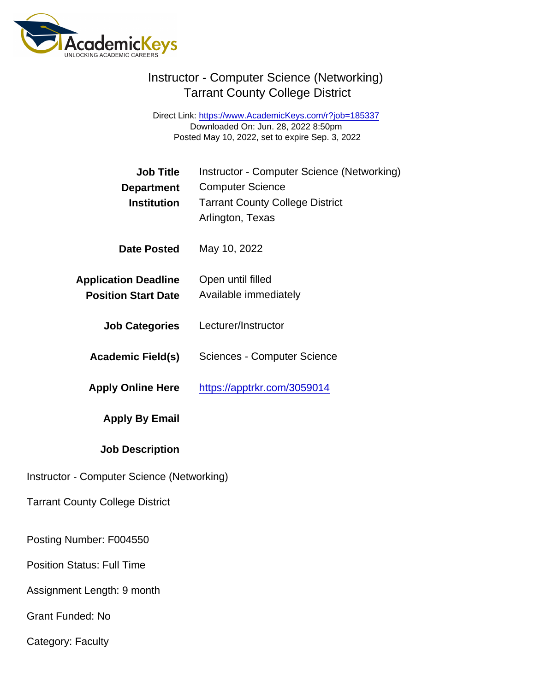Direct Link: <https://www.AcademicKeys.com/r?job=185337> Downloaded On: Jun. 28, 2022 8:50pm Posted May 10, 2022, set to expire Sep. 3, 2022

| <b>Job Title</b><br>Department<br>Institution             | Instructor - Computer Science (Networking)<br><b>Computer Science</b><br><b>Tarrant County College District</b><br>Arlington, Texas |
|-----------------------------------------------------------|-------------------------------------------------------------------------------------------------------------------------------------|
| Date Posted                                               | May 10, 2022                                                                                                                        |
| <b>Application Deadline</b><br><b>Position Start Date</b> | Open until filled<br>Available immediately                                                                                          |
| <b>Job Categories</b>                                     | Lecturer/Instructor                                                                                                                 |
| Academic Field(s)                                         | <b>Sciences - Computer Science</b>                                                                                                  |
| <b>Apply Online Here</b>                                  | https://apptrkr.com/3059014                                                                                                         |
| Apply By Email                                            |                                                                                                                                     |
| <b>Job Description</b>                                    |                                                                                                                                     |
| Instructor - Computer Science (Networking)                |                                                                                                                                     |
| <b>Tarrant County College District</b>                    |                                                                                                                                     |
| Posting Number: F004550                                   |                                                                                                                                     |
| <b>Position Status: Full Time</b>                         |                                                                                                                                     |
| Assignment Length: 9 month                                |                                                                                                                                     |
| <b>Grant Funded: No</b>                                   |                                                                                                                                     |
|                                                           |                                                                                                                                     |

Category: Faculty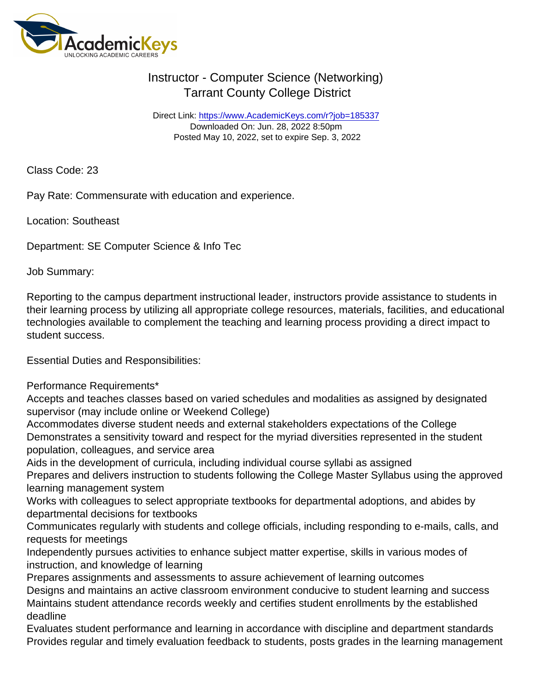Direct Link: <https://www.AcademicKeys.com/r?job=185337> Downloaded On: Jun. 28, 2022 8:50pm Posted May 10, 2022, set to expire Sep. 3, 2022

Class Code: 23

Pay Rate: Commensurate with education and experience.

Location: Southeast

Department: SE Computer Science & Info Tec

Job Summary:

Reporting to the campus department instructional leader, instructors provide assistance to students in their learning process by utilizing all appropriate college resources, materials, facilities, and educational technologies available to complement the teaching and learning process providing a direct impact to student success.

Essential Duties and Responsibilities:

Performance Requirements\*

Accepts and teaches classes based on varied schedules and modalities as assigned by designated supervisor (may include online or Weekend College)

Accommodates diverse student needs and external stakeholders expectations of the College Demonstrates a sensitivity toward and respect for the myriad diversities represented in the student population, colleagues, and service area

Aids in the development of curricula, including individual course syllabi as assigned

Prepares and delivers instruction to students following the College Master Syllabus using the approved learning management system

Works with colleagues to select appropriate textbooks for departmental adoptions, and abides by departmental decisions for textbooks

Communicates regularly with students and college officials, including responding to e-mails, calls, and requests for meetings

Independently pursues activities to enhance subject matter expertise, skills in various modes of instruction, and knowledge of learning

Prepares assignments and assessments to assure achievement of learning outcomes

Designs and maintains an active classroom environment conducive to student learning and success Maintains student attendance records weekly and certifies student enrollments by the established deadline

Evaluates student performance and learning in accordance with discipline and department standards Provides regular and timely evaluation feedback to students, posts grades in the learning management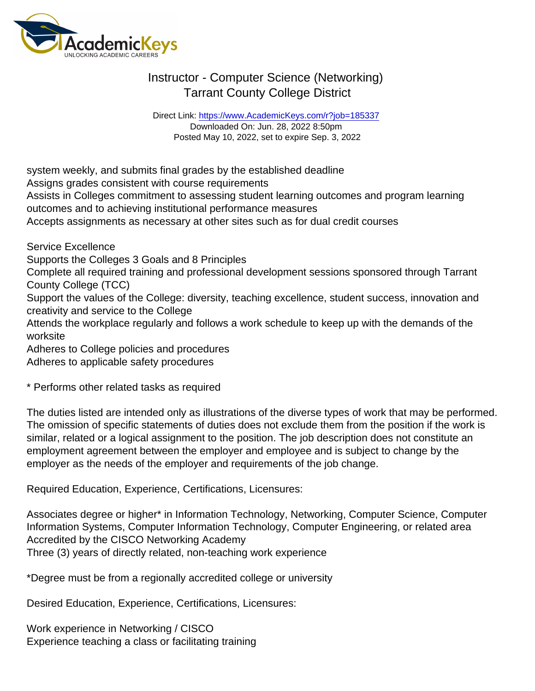Direct Link: <https://www.AcademicKeys.com/r?job=185337> Downloaded On: Jun. 28, 2022 8:50pm Posted May 10, 2022, set to expire Sep. 3, 2022

system weekly, and submits final grades by the established deadline Assigns grades consistent with course requirements Assists in Colleges commitment to assessing student learning outcomes and program learning outcomes and to achieving institutional performance measures Accepts assignments as necessary at other sites such as for dual credit courses

Service Excellence

Supports the Colleges 3 Goals and 8 Principles

Complete all required training and professional development sessions sponsored through Tarrant County College (TCC)

Support the values of the College: diversity, teaching excellence, student success, innovation and creativity and service to the College

Attends the workplace regularly and follows a work schedule to keep up with the demands of the worksite

Adheres to College policies and procedures

Adheres to applicable safety procedures

\* Performs other related tasks as required

The duties listed are intended only as illustrations of the diverse types of work that may be performed. The omission of specific statements of duties does not exclude them from the position if the work is similar, related or a logical assignment to the position. The job description does not constitute an employment agreement between the employer and employee and is subject to change by the employer as the needs of the employer and requirements of the job change.

Required Education, Experience, Certifications, Licensures:

Associates degree or higher\* in Information Technology, Networking, Computer Science, Computer Information Systems, Computer Information Technology, Computer Engineering, or related area Accredited by the CISCO Networking Academy Three (3) years of directly related, non-teaching work experience

\*Degree must be from a regionally accredited college or university

Desired Education, Experience, Certifications, Licensures:

Work experience in Networking / CISCO Experience teaching a class or facilitating training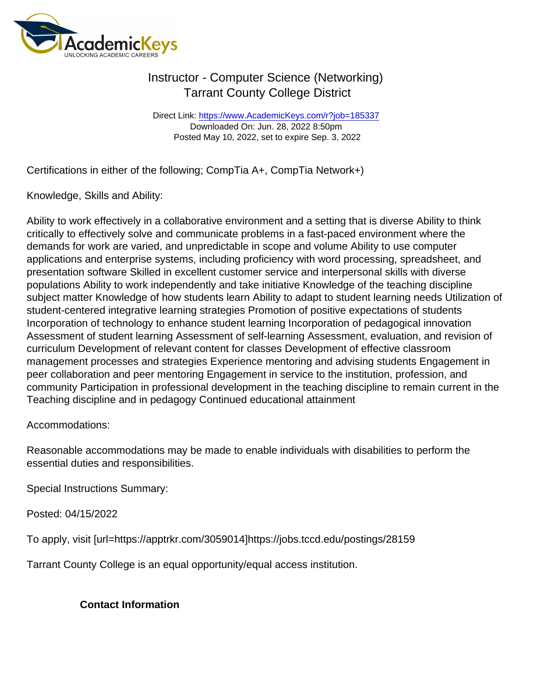Direct Link: <https://www.AcademicKeys.com/r?job=185337> Downloaded On: Jun. 28, 2022 8:50pm Posted May 10, 2022, set to expire Sep. 3, 2022

Certifications in either of the following; CompTia A+, CompTia Network+)

Knowledge, Skills and Ability:

Ability to work effectively in a collaborative environment and a setting that is diverse Ability to think critically to effectively solve and communicate problems in a fast-paced environment where the demands for work are varied, and unpredictable in scope and volume Ability to use computer applications and enterprise systems, including proficiency with word processing, spreadsheet, and presentation software Skilled in excellent customer service and interpersonal skills with diverse populations Ability to work independently and take initiative Knowledge of the teaching discipline subject matter Knowledge of how students learn Ability to adapt to student learning needs Utilization of student-centered integrative learning strategies Promotion of positive expectations of students Incorporation of technology to enhance student learning Incorporation of pedagogical innovation Assessment of student learning Assessment of self-learning Assessment, evaluation, and revision of curriculum Development of relevant content for classes Development of effective classroom management processes and strategies Experience mentoring and advising students Engagement in peer collaboration and peer mentoring Engagement in service to the institution, profession, and community Participation in professional development in the teaching discipline to remain current in the Teaching discipline and in pedagogy Continued educational attainment

Accommodations:

Reasonable accommodations may be made to enable individuals with disabilities to perform the essential duties and responsibilities.

Special Instructions Summary:

Posted: 04/15/2022

To apply, visit [url=https://apptrkr.com/3059014]https://jobs.tccd.edu/postings/28159

Tarrant County College is an equal opportunity/equal access institution.

Contact Information